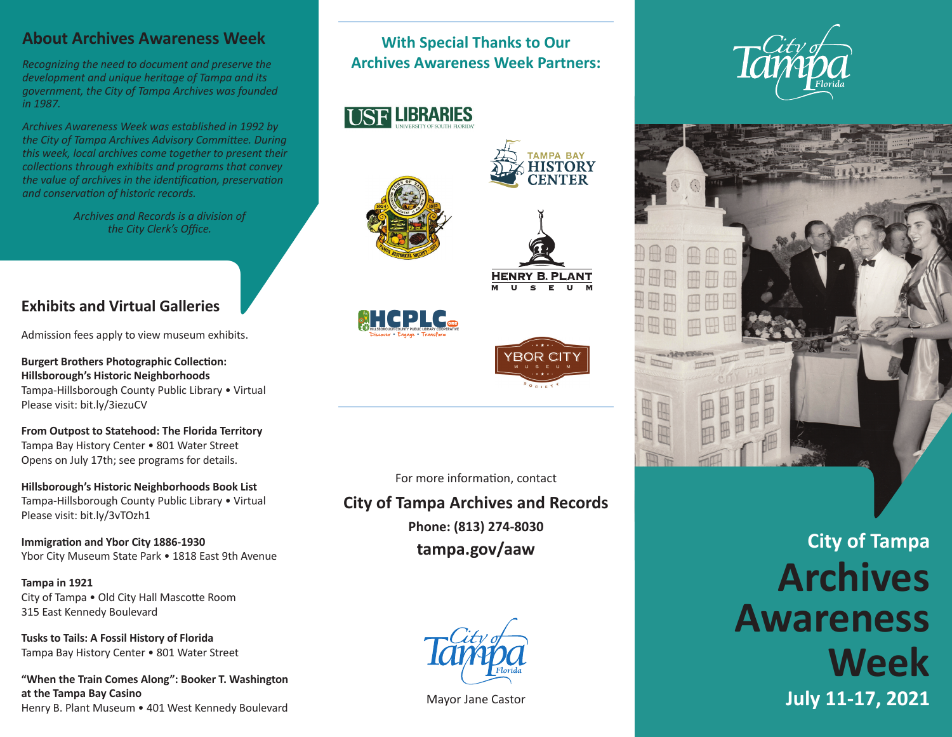## **About Archives Awareness Week**

*Recognizing the need to document and preserve the development and unique heritage of Tampa and its government, the City of Tampa Archives was founded in 1987.* 

*Archives Awareness Week was established in 1992 by the City of Tampa Archives Advisory Committee. During this week, local archives come together to present their collections through exhibits and programs that convey the value of archives in the identification, preservation and conservation of historic records.*

> *Archives and Records is a division of the City Clerk's Office.*

# **Exhibits and Virtual Galleries**

Admission fees apply to view museum exhibits.

**Burgert Brothers Photographic Collection: Hillsborough's Historic Neighborhoods**  Tampa-Hillsborough County Public Library • Virtual Please visit: bit.ly/3iezuCV

**From Outpost to Statehood: The Florida Territory**  Tampa Bay History Center • 801 Water Street Opens on July 17th; see programs for details.

**Hillsborough's Historic Neighborhoods Book List**  Tampa-Hillsborough County Public Library • Virtual Please visit: bit.ly/3vTOzh1

**Immigration and Ybor City 1886-1930** Ybor City Museum State Park • 1818 East 9th Avenue

**Tampa in 1921** City of Tampa • Old City Hall Mascotte Room 315 East Kennedy Boulevard

**Tusks to Tails: A Fossil History of Florida**  Tampa Bay History Center • 801 Water Street

**"When the Train Comes Along": Booker T. Washington at the Tampa Bay Casino**  Henry B. Plant Museum • 401 West Kennedy Boulevard

## **With Special Thanks to Our Archives Awareness Week Partners:**







**HISTORY** 

**HENRY B. PLANT** 





For more information, contact

**City of Tampa Archives and Records** 

**Phone: (813) 274-8030 tampa.gov/aaw** 



Mayor Jane Castor





**City of Tampa Archives Awareness Week July 11-17, 2021**